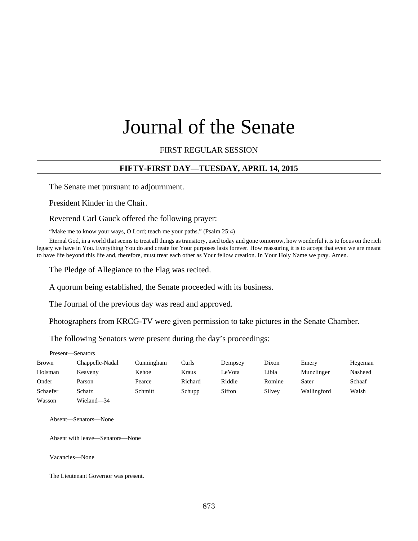# Journal of the Senate

FIRST REGULAR SESSION

## **FIFTY-FIRST DAY—TUESDAY, APRIL 14, 2015**

The Senate met pursuant to adjournment.

President Kinder in the Chair.

Reverend Carl Gauck offered the following prayer:

"Make me to know your ways, O Lord; teach me your paths." (Psalm 25:4)

Eternal God, in a world that seems to treat all things as transitory, used today and gone tomorrow, how wonderful it is to focus on the rich legacy we have in You. Everything You do and create for Your purposes lasts forever. How reassuring it is to accept that even we are meant to have life beyond this life and, therefore, must treat each other as Your fellow creation. In Your Holy Name we pray. Amen.

The Pledge of Allegiance to the Flag was recited.

A quorum being established, the Senate proceeded with its business.

The Journal of the previous day was read and approved.

Photographers from KRCG-TV were given permission to take pictures in the Senate Chamber.

The following Senators were present during the day's proceedings:

Present—Senators

| Brown    | Chappelle-Nadal | Cunningham | Curls   | Dempsey | Dixon  | Emery       | Hegeman |
|----------|-----------------|------------|---------|---------|--------|-------------|---------|
| Holsman  | Keaveny         | Kehoe      | Kraus   | LeVota  | Libla  | Munzlinger  | Nasheed |
| Onder    | Parson          | Pearce     | Richard | Riddle  | Romine | Sater       | Schaaf  |
| Schaefer | Schatz          | Schmitt    | Schupp  | Sifton  | Silvey | Wallingford | Walsh   |
| Wasson   | Wieland—34      |            |         |         |        |             |         |

Absent—Senators—None

Absent with leave—Senators—None

Vacancies—None

The Lieutenant Governor was present.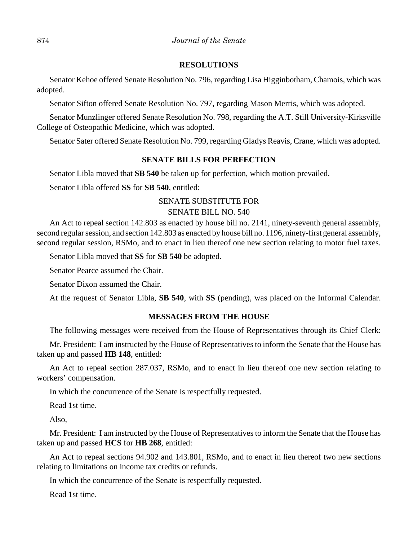#### **RESOLUTIONS**

Senator Kehoe offered Senate Resolution No. 796, regarding Lisa Higginbotham, Chamois, which was adopted.

Senator Sifton offered Senate Resolution No. 797, regarding Mason Merris, which was adopted.

Senator Munzlinger offered Senate Resolution No. 798, regarding the A.T. Still University-Kirksville College of Osteopathic Medicine, which was adopted.

Senator Sater offered Senate Resolution No. 799, regarding Gladys Reavis, Crane, which was adopted.

## **SENATE BILLS FOR PERFECTION**

Senator Libla moved that **SB 540** be taken up for perfection, which motion prevailed.

Senator Libla offered **SS** for **SB 540**, entitled:

## SENATE SUBSTITUTE FOR

## SENATE BILL NO. 540

An Act to repeal section 142.803 as enacted by house bill no. 2141, ninety-seventh general assembly, second regular session, and section 142.803 as enacted by house bill no. 1196, ninety-first general assembly, second regular session, RSMo, and to enact in lieu thereof one new section relating to motor fuel taxes.

Senator Libla moved that **SS** for **SB 540** be adopted.

Senator Pearce assumed the Chair.

Senator Dixon assumed the Chair.

At the request of Senator Libla, **SB 540**, with **SS** (pending), was placed on the Informal Calendar.

## **MESSAGES FROM THE HOUSE**

The following messages were received from the House of Representatives through its Chief Clerk:

Mr. President: I am instructed by the House of Representatives to inform the Senate that the House has taken up and passed **HB 148**, entitled:

An Act to repeal section 287.037, RSMo, and to enact in lieu thereof one new section relating to workers' compensation.

In which the concurrence of the Senate is respectfully requested.

Read 1st time.

Also,

Mr. President: I am instructed by the House of Representatives to inform the Senate that the House has taken up and passed **HCS** for **HB 268**, entitled:

An Act to repeal sections 94.902 and 143.801, RSMo, and to enact in lieu thereof two new sections relating to limitations on income tax credits or refunds.

In which the concurrence of the Senate is respectfully requested.

Read 1st time.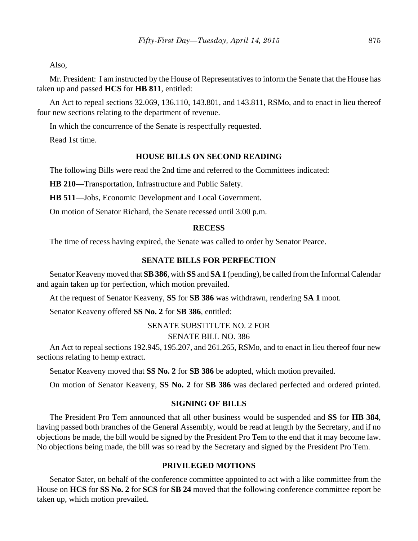Also,

Mr. President: I am instructed by the House of Representatives to inform the Senate that the House has taken up and passed **HCS** for **HB 811**, entitled:

An Act to repeal sections 32.069, 136.110, 143.801, and 143.811, RSMo, and to enact in lieu thereof four new sections relating to the department of revenue.

In which the concurrence of the Senate is respectfully requested.

Read 1st time.

#### **HOUSE BILLS ON SECOND READING**

The following Bills were read the 2nd time and referred to the Committees indicated:

**HB 210**––Transportation, Infrastructure and Public Safety.

**HB 511**––Jobs, Economic Development and Local Government.

On motion of Senator Richard, the Senate recessed until 3:00 p.m.

#### **RECESS**

The time of recess having expired, the Senate was called to order by Senator Pearce.

## **SENATE BILLS FOR PERFECTION**

Senator Keaveny moved that **SB 386**, with **SS** and **SA 1** (pending), be called from the Informal Calendar and again taken up for perfection, which motion prevailed.

At the request of Senator Keaveny, **SS** for **SB 386** was withdrawn, rendering **SA 1** moot.

Senator Keaveny offered **SS No. 2** for **SB 386**, entitled:

SENATE SUBSTITUTE NO. 2 FOR

## SENATE BILL NO. 386

An Act to repeal sections 192.945, 195.207, and 261.265, RSMo, and to enact in lieu thereof four new sections relating to hemp extract.

Senator Keaveny moved that **SS No. 2** for **SB 386** be adopted, which motion prevailed.

On motion of Senator Keaveny, **SS No. 2** for **SB 386** was declared perfected and ordered printed.

## **SIGNING OF BILLS**

The President Pro Tem announced that all other business would be suspended and **SS** for **HB 384**, having passed both branches of the General Assembly, would be read at length by the Secretary, and if no objections be made, the bill would be signed by the President Pro Tem to the end that it may become law. No objections being made, the bill was so read by the Secretary and signed by the President Pro Tem.

## **PRIVILEGED MOTIONS**

Senator Sater, on behalf of the conference committee appointed to act with a like committee from the House on **HCS** for **SS No. 2** for **SCS** for **SB 24** moved that the following conference committee report be taken up, which motion prevailed.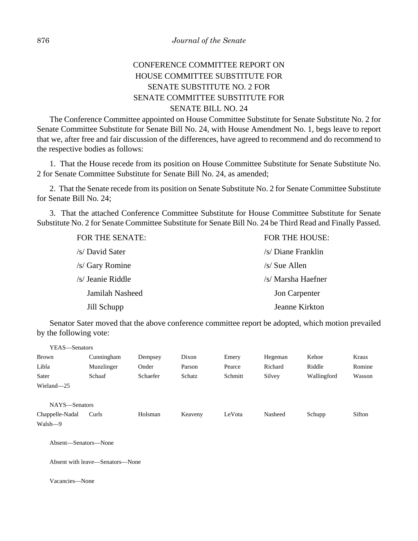# CONFERENCE COMMITTEE REPORT ON HOUSE COMMITTEE SUBSTITUTE FOR SENATE SUBSTITUTE NO. 2 FOR SENATE COMMITTEE SUBSTITUTE FOR SENATE BILL NO. 24

The Conference Committee appointed on House Committee Substitute for Senate Substitute No. 2 for Senate Committee Substitute for Senate Bill No. 24, with House Amendment No. 1, begs leave to report that we, after free and fair discussion of the differences, have agreed to recommend and do recommend to the respective bodies as follows:

1. That the House recede from its position on House Committee Substitute for Senate Substitute No. 2 for Senate Committee Substitute for Senate Bill No. 24, as amended;

2. That the Senate recede from its position on Senate Substitute No. 2 for Senate Committee Substitute for Senate Bill No. 24;

3. That the attached Conference Committee Substitute for House Committee Substitute for Senate Substitute No. 2 for Senate Committee Substitute for Senate Bill No. 24 be Third Read and Finally Passed.

| FOR THE SENATE:   | FOR THE HOUSE:     |  |  |
|-------------------|--------------------|--|--|
| /s/ David Sater   | /s/ Diane Franklin |  |  |
| /s/ Gary Romine   | $/s/$ Sue Allen    |  |  |
| /s/ Jeanie Riddle | /s/ Marsha Haefner |  |  |
| Jamilah Nasheed   | Jon Carpenter      |  |  |
| Jill Schupp       | Jeanne Kirkton     |  |  |

Senator Sater moved that the above conference committee report be adopted, which motion prevailed by the following vote:

| YEAS-Senators        |            |          |         |         |         |             |        |
|----------------------|------------|----------|---------|---------|---------|-------------|--------|
| <b>Brown</b>         | Cunningham | Dempsey  | Dixon   | Emery   | Hegeman | Kehoe       | Kraus  |
| Libla                | Munzlinger | Onder    | Parson  | Pearce  | Richard | Riddle      | Romine |
| Sater                | Schaaf     | Schaefer | Schatz  | Schmitt | Silvey  | Wallingford | Wasson |
| Wieland-25           |            |          |         |         |         |             |        |
|                      |            |          |         |         |         |             |        |
| NAYS-Senators        |            |          |         |         |         |             |        |
| Chappelle-Nadal      | Curls      | Holsman  | Keaveny | LeVota  | Nasheed | Schupp      | Sifton |
| Walsh-9              |            |          |         |         |         |             |        |
|                      |            |          |         |         |         |             |        |
| Absent—Senators—None |            |          |         |         |         |             |        |
|                      |            |          |         |         |         |             |        |

Absent with leave—Senators—None

Vacancies—None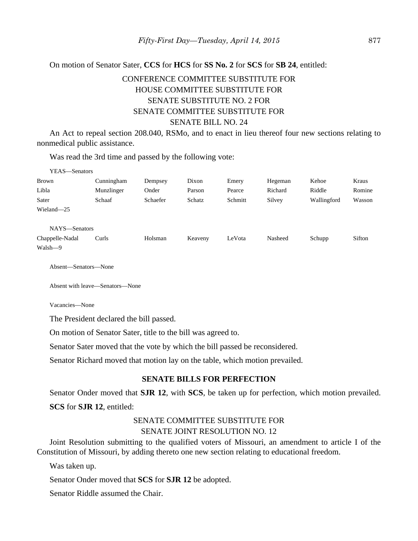## On motion of Senator Sater, **CCS** for **HCS** for **SS No. 2** for **SCS** for **SB 24**, entitled:

# CONFERENCE COMMITTEE SUBSTITUTE FOR HOUSE COMMITTEE SUBSTITUTE FOR SENATE SUBSTITUTE NO. 2 FOR SENATE COMMITTEE SUBSTITUTE FOR SENATE BILL NO. 24

An Act to repeal section 208.040, RSMo, and to enact in lieu thereof four new sections relating to nonmedical public assistance.

Was read the 3rd time and passed by the following vote:

| YEAS—Senators   |            |          |         |         |         |             |        |
|-----------------|------------|----------|---------|---------|---------|-------------|--------|
| <b>Brown</b>    | Cunningham | Dempsey  | Dixon   | Emery   | Hegeman | Kehoe       | Kraus  |
| Libla           | Munzlinger | Onder    | Parson  | Pearce  | Richard | Riddle      | Romine |
| Sater           | Schaaf     | Schaefer | Schatz  | Schmitt | Silvey  | Wallingford | Wasson |
| Wieland-25      |            |          |         |         |         |             |        |
|                 |            |          |         |         |         |             |        |
| NAYS-Senators   |            |          |         |         |         |             |        |
| Chappelle-Nadal | Curls      | Holsman  | Keaveny | LeVota  | Nasheed | Schupp      | Sifton |
| Walsh-9         |            |          |         |         |         |             |        |

Absent—Senators—None

Absent with leave—Senators—None

Vacancies—None

The President declared the bill passed.

On motion of Senator Sater, title to the bill was agreed to.

Senator Sater moved that the vote by which the bill passed be reconsidered.

Senator Richard moved that motion lay on the table, which motion prevailed.

#### **SENATE BILLS FOR PERFECTION**

Senator Onder moved that **SJR 12**, with **SCS**, be taken up for perfection, which motion prevailed. **SCS** for **SJR 12**, entitled:

## SENATE COMMITTEE SUBSTITUTE FOR SENATE JOINT RESOLUTION NO. 12

Joint Resolution submitting to the qualified voters of Missouri, an amendment to article I of the Constitution of Missouri, by adding thereto one new section relating to educational freedom.

Was taken up.

Senator Onder moved that **SCS** for **SJR 12** be adopted.

Senator Riddle assumed the Chair.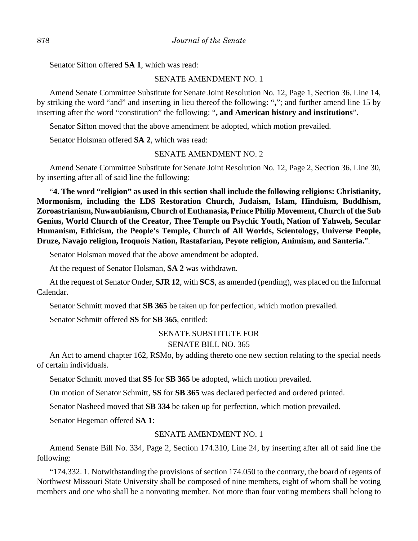Senator Sifton offered **SA 1**, which was read:

## SENATE AMENDMENT NO. 1

Amend Senate Committee Substitute for Senate Joint Resolution No. 12, Page 1, Section 36, Line 14, by striking the word "and" and inserting in lieu thereof the following: "**,**"; and further amend line 15 by inserting after the word "constitution" the following: "**, and American history and institutions**".

Senator Sifton moved that the above amendment be adopted, which motion prevailed.

Senator Holsman offered **SA 2**, which was read:

## SENATE AMENDMENT NO. 2

Amend Senate Committee Substitute for Senate Joint Resolution No. 12, Page 2, Section 36, Line 30, by inserting after all of said line the following:

"**4. The word "religion" as used in this section shall include the following religions: Christianity, Mormonism, including the LDS Restoration Church, Judaism, Islam, Hinduism, Buddhism, Zoroastrianism, Nuwaubianism, Church of Euthanasia, Prince Philip Movement, Church of the Sub Genius, World Church of the Creator, Thee Temple on Psychic Youth, Nation of Yahweh, Secular Humanism, Ethicism, the People's Temple, Church of All Worlds, Scientology, Universe People, Druze, Navajo religion, Iroquois Nation, Rastafarian, Peyote religion, Animism, and Santeria.**".

Senator Holsman moved that the above amendment be adopted.

At the request of Senator Holsman, **SA 2** was withdrawn.

At the request of Senator Onder, **SJR 12**, with **SCS**, as amended (pending), was placed on the Informal Calendar.

Senator Schmitt moved that **SB 365** be taken up for perfection, which motion prevailed.

Senator Schmitt offered **SS** for **SB 365**, entitled:

## SENATE SUBSTITUTE FOR

## SENATE BILL NO. 365

An Act to amend chapter 162, RSMo, by adding thereto one new section relating to the special needs of certain individuals.

Senator Schmitt moved that **SS** for **SB 365** be adopted, which motion prevailed.

On motion of Senator Schmitt, **SS** for **SB 365** was declared perfected and ordered printed.

Senator Nasheed moved that **SB 334** be taken up for perfection, which motion prevailed.

Senator Hegeman offered **SA 1**:

## SENATE AMENDMENT NO. 1

Amend Senate Bill No. 334, Page 2, Section 174.310, Line 24, by inserting after all of said line the following:

"174.332. 1. Notwithstanding the provisions of section 174.050 to the contrary, the board of regents of Northwest Missouri State University shall be composed of nine members, eight of whom shall be voting members and one who shall be a nonvoting member. Not more than four voting members shall belong to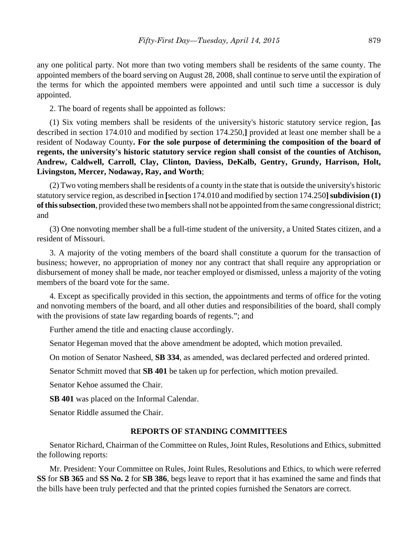any one political party. Not more than two voting members shall be residents of the same county. The appointed members of the board serving on August 28, 2008, shall continue to serve until the expiration of the terms for which the appointed members were appointed and until such time a successor is duly appointed.

2. The board of regents shall be appointed as follows:

(1) Six voting members shall be residents of the university's historic statutory service region, **[**as described in section 174.010 and modified by section 174.250,**]** provided at least one member shall be a resident of Nodaway County**. For the sole purpose of determining the composition of the board of regents, the university's historic statutory service region shall consist of the counties of Atchison, Andrew, Caldwell, Carroll, Clay, Clinton, Daviess, DeKalb, Gentry, Grundy, Harrison, Holt, Livingston, Mercer, Nodaway, Ray, and Worth**;

(2) Two voting members shall be residents of a county in the state that is outside the university's historic statutory service region, as described in **[**section 174.010 and modified by section 174.250**] subdivision (1) of this subsection**, provided these two members shall not be appointed from the same congressional district; and

(3) One nonvoting member shall be a full-time student of the university, a United States citizen, and a resident of Missouri.

3. A majority of the voting members of the board shall constitute a quorum for the transaction of business; however, no appropriation of money nor any contract that shall require any appropriation or disbursement of money shall be made, nor teacher employed or dismissed, unless a majority of the voting members of the board vote for the same.

4. Except as specifically provided in this section, the appointments and terms of office for the voting and nonvoting members of the board, and all other duties and responsibilities of the board, shall comply with the provisions of state law regarding boards of regents."; and

Further amend the title and enacting clause accordingly.

Senator Hegeman moved that the above amendment be adopted, which motion prevailed.

On motion of Senator Nasheed, **SB 334**, as amended, was declared perfected and ordered printed.

Senator Schmitt moved that **SB 401** be taken up for perfection, which motion prevailed.

Senator Kehoe assumed the Chair.

**SB 401** was placed on the Informal Calendar.

Senator Riddle assumed the Chair.

## **REPORTS OF STANDING COMMITTEES**

Senator Richard, Chairman of the Committee on Rules, Joint Rules, Resolutions and Ethics, submitted the following reports:

Mr. President: Your Committee on Rules, Joint Rules, Resolutions and Ethics, to which were referred **SS** for **SB 365** and **SS No. 2** for **SB 386**, begs leave to report that it has examined the same and finds that the bills have been truly perfected and that the printed copies furnished the Senators are correct.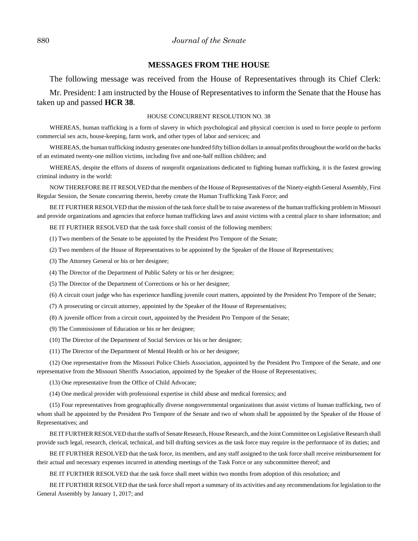#### 880 *Journal of the Senate*

#### **MESSAGES FROM THE HOUSE**

The following message was received from the House of Representatives through its Chief Clerk:

Mr. President: I am instructed by the House of Representatives to inform the Senate that the House has taken up and passed **HCR 38**.

#### HOUSE CONCURRENT RESOLUTION NO. 38

WHEREAS, human trafficking is a form of slavery in which psychological and physical coercion is used to force people to perform commercial sex acts, house-keeping, farm work, and other types of labor and services; and

WHEREAS, the human trafficking industry generates one hundred fifty billion dollars in annual profits throughout the world on the backs of an estimated twenty-one million victims, including five and one-half million children; and

WHEREAS, despite the efforts of dozens of nonprofit organizations dedicated to fighting human trafficking, it is the fastest growing criminal industry in the world:

NOW THEREFORE BE IT RESOLVED that the members of the House of Representatives of the Ninety-eighth General Assembly, First Regular Session, the Senate concurring therein, hereby create the Human Trafficking Task Force; and

BE IT FURTHER RESOLVED that the mission of the task force shall be to raise awareness of the human trafficking problem in Missouri and provide organizations and agencies that enforce human trafficking laws and assist victims with a central place to share information; and

BE IT FURTHER RESOLVED that the task force shall consist of the following members:

(1) Two members of the Senate to be appointed by the President Pro Tempore of the Senate;

- (2) Two members of the House of Representatives to be appointed by the Speaker of the House of Representatives;
- (3) The Attorney General or his or her designee;
- (4) The Director of the Department of Public Safety or his or her designee;
- (5) The Director of the Department of Corrections or his or her designee;
- (6) A circuit court judge who has experience handling juvenile court matters, appointed by the President Pro Tempore of the Senate;
- (7) A prosecuting or circuit attorney, appointed by the Speaker of the House of Representatives;
- (8) A juvenile officer from a circuit court, appointed by the President Pro Tempore of the Senate;
- (9) The Commissioner of Education or his or her designee;
- (10) The Director of the Department of Social Services or his or her designee;
- (11) The Director of the Department of Mental Health or his or her designee;

(12) One representative from the Missouri Police Chiefs Association, appointed by the President Pro Tempore of the Senate, and one representative from the Missouri Sheriffs Association, appointed by the Speaker of the House of Representatives;

(13) One representative from the Office of Child Advocate;

(14) One medical provider with professional expertise in child abuse and medical forensics; and

(15) Four representatives from geographically diverse nongovernmental organizations that assist victims of human trafficking, two of whom shall be appointed by the President Pro Tempore of the Senate and two of whom shall be appointed by the Speaker of the House of Representatives; and

BE IT FURTHER RESOLVED that the staffs of Senate Research, House Research, and the Joint Committee on Legislative Research shall provide such legal, research, clerical, technical, and bill drafting services as the task force may require in the performance of its duties; and

BE IT FURTHER RESOLVED that the task force, its members, and any staff assigned to the task force shall receive reimbursement for their actual and necessary expenses incurred in attending meetings of the Task Force or any subcommittee thereof; and

BE IT FURTHER RESOLVED that the task force shall meet within two months from adoption of this resolution; and

BE IT FURTHER RESOLVED that the task force shall report a summary of its activities and any recommendations for legislation to the General Assembly by January 1, 2017; and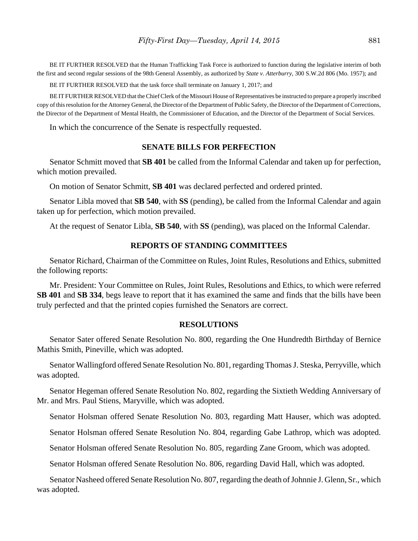BE IT FURTHER RESOLVED that the Human Trafficking Task Force is authorized to function during the legislative interim of both the first and second regular sessions of the 98th General Assembly, as authorized by *State v. Atterburry,* 300 S.W.2d 806 (Mo. 1957); and

BE IT FURTHER RESOLVED that the task force shall terminate on January 1, 2017; and

BE IT FURTHER RESOLVED that the Chief Clerk of the Missouri House of Representatives be instructed to prepare a properly inscribed copy of this resolution for the Attorney General, the Director of the Department of Public Safety, the Director of the Department of Corrections, the Director of the Department of Mental Health, the Commissioner of Education, and the Director of the Department of Social Services.

In which the concurrence of the Senate is respectfully requested.

## **SENATE BILLS FOR PERFECTION**

Senator Schmitt moved that **SB 401** be called from the Informal Calendar and taken up for perfection, which motion prevailed.

On motion of Senator Schmitt, **SB 401** was declared perfected and ordered printed.

Senator Libla moved that **SB 540**, with **SS** (pending), be called from the Informal Calendar and again taken up for perfection, which motion prevailed.

At the request of Senator Libla, **SB 540**, with **SS** (pending), was placed on the Informal Calendar.

## **REPORTS OF STANDING COMMITTEES**

Senator Richard, Chairman of the Committee on Rules, Joint Rules, Resolutions and Ethics, submitted the following reports:

Mr. President: Your Committee on Rules, Joint Rules, Resolutions and Ethics, to which were referred **SB 401** and **SB 334**, begs leave to report that it has examined the same and finds that the bills have been truly perfected and that the printed copies furnished the Senators are correct.

#### **RESOLUTIONS**

Senator Sater offered Senate Resolution No. 800, regarding the One Hundredth Birthday of Bernice Mathis Smith, Pineville, which was adopted.

Senator Wallingford offered Senate Resolution No. 801, regarding Thomas J. Steska, Perryville, which was adopted.

Senator Hegeman offered Senate Resolution No. 802, regarding the Sixtieth Wedding Anniversary of Mr. and Mrs. Paul Stiens, Maryville, which was adopted.

Senator Holsman offered Senate Resolution No. 803, regarding Matt Hauser, which was adopted.

Senator Holsman offered Senate Resolution No. 804, regarding Gabe Lathrop, which was adopted.

Senator Holsman offered Senate Resolution No. 805, regarding Zane Groom, which was adopted.

Senator Holsman offered Senate Resolution No. 806, regarding David Hall, which was adopted.

Senator Nasheed offered Senate Resolution No. 807, regarding the death of Johnnie J. Glenn, Sr., which was adopted.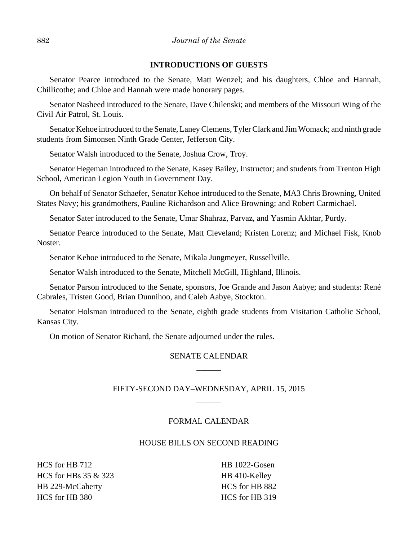## **INTRODUCTIONS OF GUESTS**

Senator Pearce introduced to the Senate, Matt Wenzel; and his daughters, Chloe and Hannah, Chillicothe; and Chloe and Hannah were made honorary pages.

Senator Nasheed introduced to the Senate, Dave Chilenski; and members of the Missouri Wing of the Civil Air Patrol, St. Louis.

Senator Kehoe introduced to the Senate, Laney Clemens, Tyler Clark and Jim Womack; and ninth grade students from Simonsen Ninth Grade Center, Jefferson City.

Senator Walsh introduced to the Senate, Joshua Crow, Troy.

Senator Hegeman introduced to the Senate, Kasey Bailey, Instructor; and students from Trenton High School, American Legion Youth in Government Day.

On behalf of Senator Schaefer, Senator Kehoe introduced to the Senate, MA3 Chris Browning, United States Navy; his grandmothers, Pauline Richardson and Alice Browning; and Robert Carmichael.

Senator Sater introduced to the Senate, Umar Shahraz, Parvaz, and Yasmin Akhtar, Purdy.

Senator Pearce introduced to the Senate, Matt Cleveland; Kristen Lorenz; and Michael Fisk, Knob Noster.

Senator Kehoe introduced to the Senate, Mikala Jungmeyer, Russellville.

Senator Walsh introduced to the Senate, Mitchell McGill, Highland, Illinois.

Senator Parson introduced to the Senate, sponsors, Joe Grande and Jason Aabye; and students: René Cabrales, Tristen Good, Brian Dunnihoo, and Caleb Aabye, Stockton.

Senator Holsman introduced to the Senate, eighth grade students from Visitation Catholic School, Kansas City.

On motion of Senator Richard, the Senate adjourned under the rules.

# SENATE CALENDAR  $\overline{\phantom{a}}$

# FIFTY-SECOND DAY–WEDNESDAY, APRIL 15, 2015  $\overline{\phantom{a}}$

## FORMAL CALENDAR

## HOUSE BILLS ON SECOND READING

HCS for HB 712 HCS for HBs 35 & 323 HB 229-McCaherty HCS for HB 380

HB 1022-Gosen HB 410-Kelley HCS for HB 882 HCS for HB 319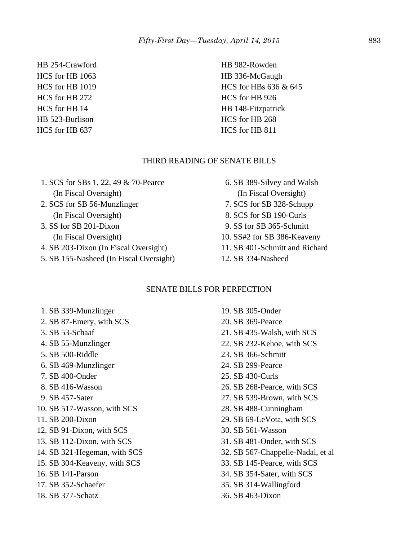HB 254-Crawford HCS for HB 1063 HCS for HB 1019 HCS for HB 272 HCS for HB 14 HB 523-Burlison HCS for HB 637

HB 982-Rowden HB 336-McGaugh HCS for HBs 636 & 645 HCS for HB 926 HB 148-Fitzpatrick HCS for HB 268 HCS for HB 811

## THIRD READING OF SENATE BILLS

 1. SCS for SBs 1, 22, 49 & 70-Pearce (In Fiscal Oversight) 2. SCS for SB 56-Munzlinger (In Fiscal Oversight) 3. SS for SB 201-Dixon (In Fiscal Oversight) 4. SB 203-Dixon (In Fiscal Oversight) 5. SB 155-Nasheed (In Fiscal Oversight)

# 6. SB 389-Silvey and Walsh (In Fiscal Oversight) 7. SCS for SB 328-Schupp 8. SCS for SB 190-Curls 9. SS for SB 365-Schmitt 10. SS#2 for SB 386-Keaveny 11. SB 401-Schmitt and Richard 12. SB 334-Nasheed

## SENATE BILLS FOR PERFECTION

 1. SB 339-Munzlinger 2. SB 87-Emery, with SCS 3. SB 53-Schaaf 4. SB 55-Munzlinger 5. SB 500-Riddle 6. SB 469-Munzlinger 7. SB 400-Onder 8. SB 416-Wasson 9. SB 457-Sater 10. SB 517-Wasson, with SCS 11. SB 200-Dixon 12. SB 91-Dixon, with SCS 13. SB 112-Dixon, with SCS 14. SB 321-Hegeman, with SCS 15. SB 304-Keaveny, with SCS 16. SB 141-Parson 17. SB 352-Schaefer 18. SB 377-Schatz

19. SB 305-Onder 20. SB 369-Pearce 21. SB 435-Walsh, with SCS 22. SB 232-Kehoe, with SCS 23. SB 366-Schmitt 24. SB 299-Pearce 25. SB 430-Curls 26. SB 268-Pearce, with SCS 27. SB 539-Brown, with SCS 28. SB 488-Cunningham 29. SB 69-LeVota, with SCS 30. SB 561-Wasson 31. SB 481-Onder, with SCS 32. SB 567-Chappelle-Nadal, et al 33. SB 145-Pearce, with SCS 34. SB 354-Sater, with SCS 35. SB 314-Wallingford 36. SB 463-Dixon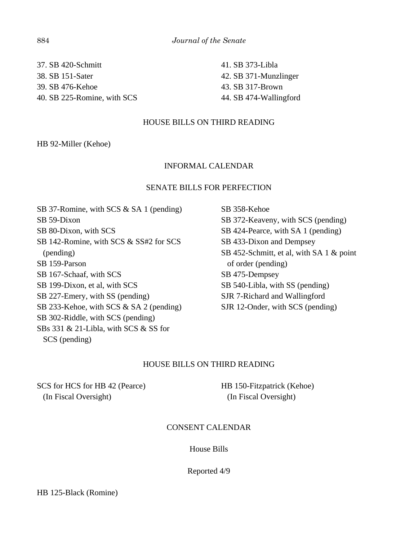37. SB 420-Schmitt 38. SB 151-Sater 39. SB 476-Kehoe 40. SB 225-Romine, with SCS 41. SB 373-Libla 42. SB 371-Munzlinger 43. SB 317-Brown 44. SB 474-Wallingford

## HOUSE BILLS ON THIRD READING

HB 92-Miller (Kehoe)

## INFORMAL CALENDAR

#### SENATE BILLS FOR PERFECTION

SB 37-Romine, with SCS & SA 1 (pending) SB 59-Dixon SB 80-Dixon, with SCS SB 142-Romine, with SCS & SS#2 for SCS (pending) SB 159-Parson SB 167-Schaaf, with SCS SB 199-Dixon, et al, with SCS SB 227-Emery, with SS (pending) SB 233-Kehoe, with SCS & SA 2 (pending) SB 302-Riddle, with SCS (pending) SBs 331 & 21-Libla, with SCS & SS for SCS (pending)

SB 358-Kehoe SB 372-Keaveny, with SCS (pending) SB 424-Pearce, with SA 1 (pending) SB 433-Dixon and Dempsey SB 452-Schmitt, et al, with SA 1 & point of order (pending) SB 475-Dempsey SB 540-Libla, with SS (pending) SJR 7-Richard and Wallingford SJR 12-Onder, with SCS (pending)

## HOUSE BILLS ON THIRD READING

SCS for HCS for HB 42 (Pearce) (In Fiscal Oversight)

HB 150-Fitzpatrick (Kehoe) (In Fiscal Oversight)

## CONSENT CALENDAR

#### House Bills

#### Reported 4/9